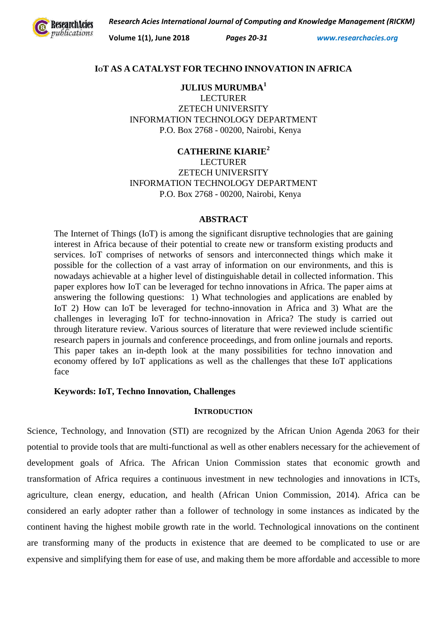*Research Acies International Journal of Computing and Knowledge Management (RICKM)*



**Volume 1(1), June 2018** *Pages 20-31 www.researchacies.org*

## **IOT AS A CATALYST FOR TECHNO INNOVATION IN AFRICA**

**JULIUS MURUMBA<sup>1</sup>** LECTURER ZETECH UNIVERSITY INFORMATION TECHNOLOGY DEPARTMENT P.O. Box 2768 - 00200, Nairobi, Kenya

**CATHERINE KIARIE<sup>2</sup> LECTURER** ZETECH UNIVERSITY INFORMATION TECHNOLOGY DEPARTMENT P.O. Box 2768 - 00200, Nairobi, Kenya

#### **ABSTRACT**

The Internet of Things (IoT) is among the significant disruptive technologies that are gaining interest in Africa because of their potential to create new or transform existing products and services. IoT comprises of networks of sensors and interconnected things which make it possible for the collection of a vast array of information on our environments, and this is nowadays achievable at a higher level of distinguishable detail in collected information. This paper explores how IoT can be leveraged for techno innovations in Africa. The paper aims at answering the following questions: 1) What technologies and applications are enabled by IoT 2) How can IoT be leveraged for techno-innovation in Africa and 3) What are the challenges in leveraging IoT for techno-innovation in Africa? The study is carried out through literature review. Various sources of literature that were reviewed include scientific research papers in journals and conference proceedings, and from online journals and reports. This paper takes an in-depth look at the many possibilities for techno innovation and economy offered by IoT applications as well as the challenges that these IoT applications face

## **Keywords: IoT, Techno Innovation, Challenges**

## **INTRODUCTION**

Science, Technology, and Innovation (STI) are recognized by the African Union Agenda 2063 for their potential to provide tools that are multi-functional as well as other enablers necessary for the achievement of development goals of Africa. The African Union Commission states that economic growth and transformation of Africa requires a continuous investment in new technologies and innovations in ICTs, agriculture, clean energy, education, and health (African Union Commission, 2014). Africa can be considered an early adopter rather than a follower of technology in some instances as indicated by the continent having the highest mobile growth rate in the world. Technological innovations on the continent are transforming many of the products in existence that are deemed to be complicated to use or are expensive and simplifying them for ease of use, and making them be more affordable and accessible to more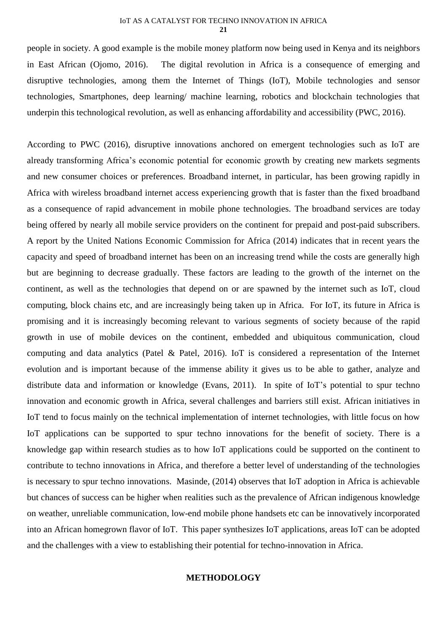#### IoT AS A CATALYST FOR TECHNO INNOVATION IN AFRICA **21**

people in society. A good example is the mobile money platform now being used in Kenya and its neighbors in East African (Ojomo, 2016). The digital revolution in Africa is a consequence of emerging and disruptive technologies, among them the Internet of Things (IoT), Mobile technologies and sensor technologies, Smartphones, deep learning/ machine learning, robotics and blockchain technologies that underpin this technological revolution, as well as enhancing affordability and accessibility (PWC, 2016).

According to PWC (2016), disruptive innovations anchored on emergent technologies such as IoT are already transforming Africa's economic potential for economic growth by creating new markets segments and new consumer choices or preferences. Broadband internet, in particular, has been growing rapidly in Africa with wireless broadband internet access experiencing growth that is faster than the fixed broadband as a consequence of rapid advancement in mobile phone technologies. The broadband services are today being offered by nearly all mobile service providers on the continent for prepaid and post-paid subscribers. A report by the United Nations Economic Commission for Africa (2014) indicates that in recent years the capacity and speed of broadband internet has been on an increasing trend while the costs are generally high but are beginning to decrease gradually. These factors are leading to the growth of the internet on the continent, as well as the technologies that depend on or are spawned by the internet such as IoT, cloud computing, block chains etc, and are increasingly being taken up in Africa. For IoT, its future in Africa is promising and it is increasingly becoming relevant to various segments of society because of the rapid growth in use of mobile devices on the continent, embedded and ubiquitous communication, cloud computing and data analytics (Patel & Patel, 2016). IoT is considered a representation of the Internet evolution and is important because of the immense ability it gives us to be able to gather, analyze and distribute data and information or knowledge (Evans, 2011). In spite of IoT's potential to spur techno innovation and economic growth in Africa, several challenges and barriers still exist. African initiatives in IoT tend to focus mainly on the technical implementation of internet technologies, with little focus on how IoT applications can be supported to spur techno innovations for the benefit of society. There is a knowledge gap within research studies as to how IoT applications could be supported on the continent to contribute to techno innovations in Africa, and therefore a better level of understanding of the technologies is necessary to spur techno innovations. Masinde, (2014) observes that IoT adoption in Africa is achievable but chances of success can be higher when realities such as the prevalence of African indigenous knowledge on weather, unreliable communication, low-end mobile phone handsets etc can be innovatively incorporated into an African homegrown flavor of IoT. This paper synthesizes IoT applications, areas IoT can be adopted and the challenges with a view to establishing their potential for techno-innovation in Africa.

# **METHODOLOGY**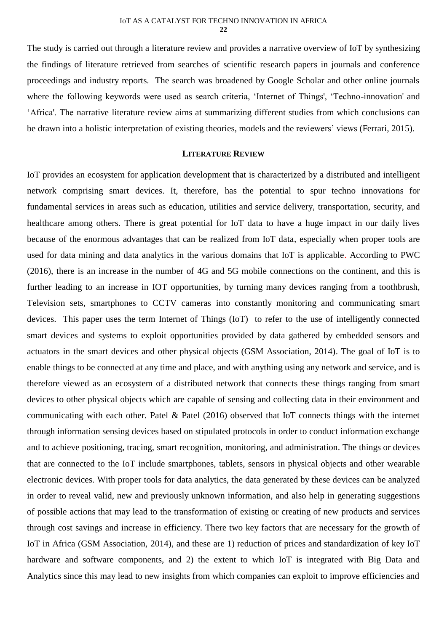The study is carried out through a literature review and provides a narrative overview of IoT by synthesizing the findings of literature retrieved from searches of scientific research papers in journals and conference proceedings and industry reports. The search was broadened by Google Scholar and other online journals where the following keywords were used as search criteria, 'Internet of Things', 'Techno-innovation' and 'Africa'. The narrative literature review aims at summarizing different studies from which conclusions can be drawn into a holistic interpretation of existing theories, models and the reviewers' views (Ferrari, 2015).

## **LITERATURE REVIEW**

IoT provides an ecosystem for application development that is characterized by a distributed and intelligent network comprising smart devices. It, therefore, has the potential to spur techno innovations for fundamental services in areas such as education, utilities and service delivery, transportation, security, and healthcare among others. There is great potential for IoT data to have a huge impact in our daily lives because of the enormous advantages that can be realized from IoT data, especially when proper tools are used for data mining and data analytics in the various domains that IoT is applicable. According to PWC (2016), there is an increase in the number of 4G and 5G mobile connections on the continent, and this is further leading to an increase in IOT opportunities, by turning many devices ranging from a toothbrush, Television sets, smartphones to CCTV cameras into constantly monitoring and communicating smart devices. This paper uses the term Internet of Things (IoT) to refer to the use of intelligently connected smart devices and systems to exploit opportunities provided by data gathered by embedded sensors and actuators in the smart devices and other physical objects (GSM Association, 2014). The goal of IoT is to enable things to be connected at any time and place, and with anything using any network and service, and is therefore viewed as an ecosystem of a distributed network that connects these things ranging from smart devices to other physical objects which are capable of sensing and collecting data in their environment and communicating with each other. Patel & Patel (2016) observed that IoT connects things with the internet through information sensing devices based on stipulated protocols in order to conduct information exchange and to achieve positioning, tracing, smart recognition, monitoring, and administration. The things or devices that are connected to the IoT include smartphones, tablets, sensors in physical objects and other wearable electronic devices. With proper tools for data analytics, the data generated by these devices can be analyzed in order to reveal valid, new and previously unknown information, and also help in generating suggestions of possible actions that may lead to the transformation of existing or creating of new products and services through cost savings and increase in efficiency. There two key factors that are necessary for the growth of IoT in Africa (GSM Association, 2014), and these are 1) reduction of prices and standardization of key IoT hardware and software components, and 2) the extent to which IoT is integrated with Big Data and Analytics since this may lead to new insights from which companies can exploit to improve efficiencies and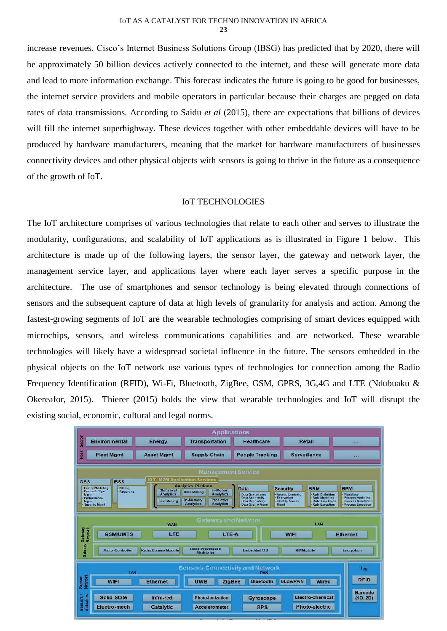increase revenues. Cisco's Internet Business Solutions Group (IBSG) has predicted that by 2020, there will be approximately 50 billion devices actively connected to the internet, and these will generate more data and lead to more information exchange. This forecast indicates the future is going to be good for businesses, the internet service providers and mobile operators in particular because their charges are pegged on data rates of data transmissions. According to Saidu *et al* (2015), there are expectations that billions of devices will fill the internet superhighway. These devices together with other embeddable devices will have to be produced by hardware manufacturers, meaning that the market for hardware manufacturers of businesses connectivity devices and other physical objects with sensors is going to thrive in the future as a consequence of the growth of IoT.

## IoT TECHNOLOGIES

The IoT architecture comprises of various technologies that relate to each other and serves to illustrate the modularity, configurations, and scalability of IoT applications as is illustrated in Figure 1 below. This architecture is made up of the following layers, the sensor layer, the gateway and network layer, the management service layer, and applications layer where each layer serves a specific purpose in the architecture. The use of smartphones and sensor technology is being elevated through connections of sensors and the subsequent capture of data at high levels of granularity for analysis and action. Among the fastest-growing segments of IoT are the wearable technologies comprising of smart devices equipped with microchips, sensors, and wireless communications capabilities and are networked. These wearable technologies will likely have a widespread societal influence in the future. The sensors embedded in the physical objects on the IoT network use various types of technologies for connection among the Radio Frequency Identification (RFID), Wi-Fi, Bluetooth, ZigBee, GSM, GPRS, 3G,4G and LTE (Ndubuaku & Okereafor, 2015). Thierer (2015) holds the view that wearable technologies and IoT will disrupt the existing social, economic, cultural and legal norms.

| <b>Applications</b>                                                                                                                                                                                                                                                                                                                                                                                                                                                                                                                                                                                                                                                                                                                                                                                                                                                                                             |                   |                       |                        |                     |  |
|-----------------------------------------------------------------------------------------------------------------------------------------------------------------------------------------------------------------------------------------------------------------------------------------------------------------------------------------------------------------------------------------------------------------------------------------------------------------------------------------------------------------------------------------------------------------------------------------------------------------------------------------------------------------------------------------------------------------------------------------------------------------------------------------------------------------------------------------------------------------------------------------------------------------|-------------------|-----------------------|------------------------|---------------------|--|
| <b>Sector</b><br><b>Environmental</b>                                                                                                                                                                                                                                                                                                                                                                                                                                                                                                                                                                                                                                                                                                                                                                                                                                                                           | <b>Energy</b>     | <b>Transportation</b> | <b>Healthcare</b>      | <b>Retail</b>       |  |
| Horz<br><b>Fleet Mamt</b>                                                                                                                                                                                                                                                                                                                                                                                                                                                                                                                                                                                                                                                                                                                                                                                                                                                                                       | <b>Asset Mgmt</b> | <b>Supply Chain</b>   | <b>People Tracking</b> | <b>Surveillance</b> |  |
| <b>Management Service</b><br><b>IOT/M2M Application Services</b><br><b>BSS</b><br>OSS<br><b>Analytics Platform</b><br><b>DeviceModeling</b><br><b>Data</b><br><b>BRM</b><br><b>BPM</b><br><b>Security</b><br><b>Billing</b><br><b>Statistical</b><br>In-Motion<br>Device & Cfan<br><b>Reporting</b><br><b>Data Mining</b><br><b>Analytics</b><br><b>Analytics</b><br><b>Rule Definition</b><br>· Workflow<br><b>Data Governance</b><br><b>Access Controls</b><br><b>Mgmt</b><br><b>Data Anonymity</b><br>Encryption<br><b>Rule Modeling</b><br>· Process Modeling<br>Performance<br><b>Predictive</b><br>in-Memory<br><b>Text Mining</b><br><b>Identity Access</b><br><b>Data Repository</b><br><b>Rule Simulation</b><br><b>Process Simulation</b><br>Mgmt<br><b>Analytics</b><br><b>Analytics</b><br><b>Data Quality Mgmt</b><br>- Rule Execution<br><b>Process Execution</b><br><b>Security Mgmt</b><br>Mamt |                   |                       |                        |                     |  |
| <b>Gateway and Network</b><br>LAN<br><b>WAN</b><br>Gateway<br>Network<br>LTE<br><b>GSM/UMTS</b><br>LTE-A<br><b>Ethernet</b><br><b>WIFI</b><br>Gateway<br><b>Signal Processor &amp;</b><br><b>Radio Comms Module</b><br>Micro-Controller<br>Embedded/OS<br><b>SIMModule</b><br><b>Encryption</b><br><b>Modulator</b>                                                                                                                                                                                                                                                                                                                                                                                                                                                                                                                                                                                             |                   |                       |                        |                     |  |
| <b>Sensors Connectivity and Network</b><br>Tag<br><b>I AN</b><br><b>PAN</b><br>Sensor<br>Network<br><b>RFID</b><br><b>WIFI</b><br><b>ZigBee</b><br><b>6LowPAN</b><br>Wired<br><b>Ethernet</b><br><b>UWB</b><br><b>Bluetooth</b><br><b>Barcode</b><br>Sensors/<br>Actuators<br>Electro-chemical<br><b>Solid State</b><br>Infra-red<br><b>Photo-ionization</b><br>(1D, 2D)<br><b>Gyroscope</b><br>Photo-electric<br>Electro-mech<br>Catalytic<br><b>Accelerometer</b><br><b>GPS</b>                                                                                                                                                                                                                                                                                                                                                                                                                               |                   |                       |                        |                     |  |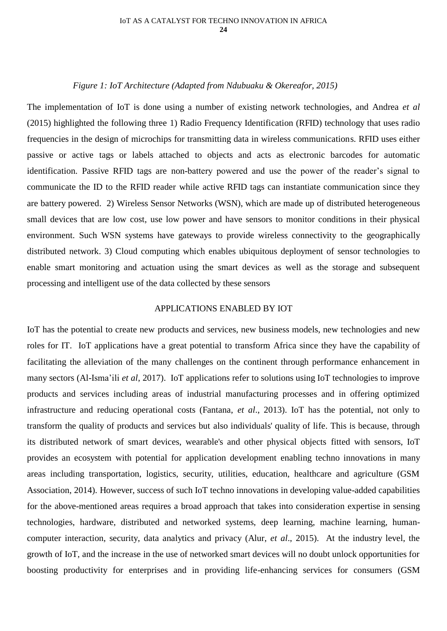#### *Figure 1: IoT Architecture (Adapted from Ndubuaku & Okereafor, 2015)*

The implementation of IoT is done using a number of existing network technologies, and Andrea *et al* (2015) highlighted the following three 1) Radio Frequency Identification (RFID) technology that uses radio frequencies in the design of microchips for transmitting data in wireless communications. RFID uses either passive or active tags or labels attached to objects and acts as electronic barcodes for automatic identification. Passive RFID tags are non-battery powered and use the power of the reader's signal to communicate the ID to the RFID reader while active RFID tags can instantiate communication since they are battery powered. 2) Wireless Sensor Networks (WSN), which are made up of distributed heterogeneous small devices that are low cost, use low power and have sensors to monitor conditions in their physical environment. Such WSN systems have gateways to provide wireless connectivity to the geographically distributed network. 3) Cloud computing which enables ubiquitous deployment of sensor technologies to enable smart monitoring and actuation using the smart devices as well as the storage and subsequent processing and intelligent use of the data collected by these sensors

## APPLICATIONS ENABLED BY IOT

IoT has the potential to create new products and services, new business models, new technologies and new roles for IT. IoT applications have a great potential to transform Africa since they have the capability of facilitating the alleviation of the many challenges on the continent through performance enhancement in many sectors (Al-Isma'ili *et al*, 2017). IoT applications refer to solutions using IoT technologies to improve products and services including areas of industrial manufacturing processes and in offering optimized infrastructure and reducing operational costs (Fantana, *et al*., 2013). IoT has the potential, not only to transform the quality of products and services but also individuals' quality of life. This is because, through its distributed network of smart devices, wearable's and other physical objects fitted with sensors, IoT provides an ecosystem with potential for application development enabling techno innovations in many areas including transportation, logistics, security, utilities, education, healthcare and agriculture (GSM Association, 2014). However, success of such IoT techno innovations in developing value-added capabilities for the above-mentioned areas requires a broad approach that takes into consideration expertise in sensing technologies, hardware, distributed and networked systems, deep learning, machine learning, humancomputer interaction, security, data analytics and privacy (Alur, *et al*., 2015). At the industry level, the growth of IoT, and the increase in the use of networked smart devices will no doubt unlock opportunities for boosting productivity for enterprises and in providing life-enhancing services for consumers (GSM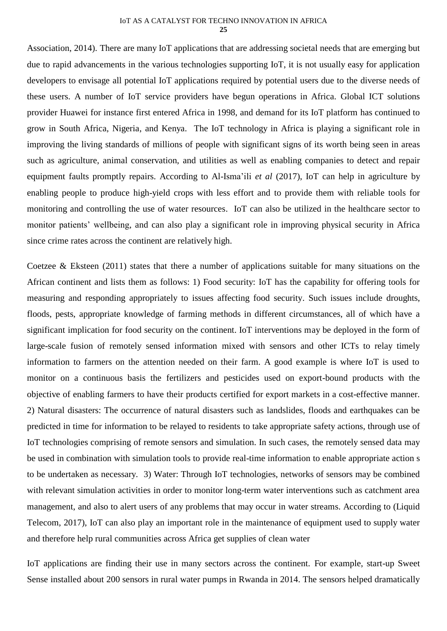Association, 2014). There are many IoT applications that are addressing societal needs that are emerging but due to rapid advancements in the various technologies supporting IoT, it is not usually easy for application developers to envisage all potential IoT applications required by potential users due to the diverse needs of these users. A number of IoT service providers have begun operations in Africa. Global ICT solutions provider Huawei for instance first entered Africa in 1998, and demand for its IoT platform has continued to grow in South Africa, Nigeria, and Kenya. The IoT technology in Africa is playing a significant role in improving the living standards of millions of people with significant signs of its worth being seen in areas such as agriculture, animal conservation, and utilities as well as enabling companies to detect and repair equipment faults promptly repairs. According to Al-Isma'ili *et al* (2017), IoT can help in agriculture by enabling people to produce high-yield crops with less effort and to provide them with reliable tools for monitoring and controlling the use of water resources. IoT can also be utilized in the healthcare sector to monitor patients' wellbeing, and can also play a significant role in improving physical security in Africa since crime rates across the continent are relatively high.

Coetzee & Eksteen (2011) states that there a number of applications suitable for many situations on the African continent and lists them as follows: 1) Food security: IoT has the capability for offering tools for measuring and responding appropriately to issues affecting food security. Such issues include droughts, floods, pests, appropriate knowledge of farming methods in different circumstances, all of which have a significant implication for food security on the continent. IoT interventions may be deployed in the form of large-scale fusion of remotely sensed information mixed with sensors and other ICTs to relay timely information to farmers on the attention needed on their farm. A good example is where IoT is used to monitor on a continuous basis the fertilizers and pesticides used on export-bound products with the objective of enabling farmers to have their products certified for export markets in a cost-effective manner. 2) Natural disasters: The occurrence of natural disasters such as landslides, floods and earthquakes can be predicted in time for information to be relayed to residents to take appropriate safety actions, through use of IoT technologies comprising of remote sensors and simulation. In such cases, the remotely sensed data may be used in combination with simulation tools to provide real-time information to enable appropriate action s to be undertaken as necessary. 3) Water: Through IoT technologies, networks of sensors may be combined with relevant simulation activities in order to monitor long-term water interventions such as catchment area management, and also to alert users of any problems that may occur in water streams. According to (Liquid Telecom, 2017), IoT can also play an important role in the maintenance of equipment used to supply water and therefore help rural communities across Africa get supplies of clean water

IoT applications are finding their use in many sectors across the continent. For example, start-up Sweet Sense installed about 200 sensors in rural water pumps in Rwanda in 2014. The sensors helped dramatically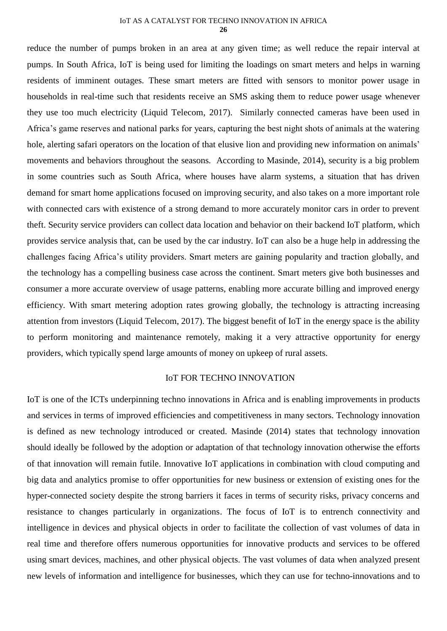reduce the number of pumps broken in an area at any given time; as well reduce the repair interval at pumps. In South Africa, IoT is being used for limiting the loadings on smart meters and helps in warning residents of imminent outages. These smart meters are fitted with sensors to monitor power usage in households in real-time such that residents receive an SMS asking them to reduce power usage whenever they use too much electricity (Liquid Telecom, 2017). Similarly connected cameras have been used in Africa's game reserves and national parks for years, capturing the best night shots of animals at the watering hole, alerting safari operators on the location of that elusive lion and providing new information on animals' movements and behaviors throughout the seasons. According to Masinde, 2014), security is a big problem in some countries such as South Africa, where houses have alarm systems, a situation that has driven demand for smart home applications focused on improving security, and also takes on a more important role with connected cars with existence of a strong demand to more accurately monitor cars in order to prevent theft. Security service providers can collect data location and behavior on their backend IoT platform, which provides service analysis that, can be used by the car industry. IoT can also be a huge help in addressing the challenges facing Africa's utility providers. Smart meters are gaining popularity and traction globally, and the technology has a compelling business case across the continent. Smart meters give both businesses and consumer a more accurate overview of usage patterns, enabling more accurate billing and improved energy efficiency. With smart metering adoption rates growing globally, the technology is attracting increasing attention from investors (Liquid Telecom, 2017). The biggest benefit of IoT in the energy space is the ability to perform monitoring and maintenance remotely, making it a very attractive opportunity for energy providers, which typically spend large amounts of money on upkeep of rural assets.

# IoT FOR TECHNO INNOVATION

IoT is one of the ICTs underpinning techno innovations in Africa and is enabling improvements in products and services in terms of improved efficiencies and competitiveness in many sectors. Technology innovation is defined as new technology introduced or created. Masinde (2014) states that technology innovation should ideally be followed by the adoption or adaptation of that technology innovation otherwise the efforts of that innovation will remain futile. Innovative IoT applications in combination with cloud computing and big data and analytics promise to offer opportunities for new business or extension of existing ones for the hyper-connected society despite the strong barriers it faces in terms of security risks, privacy concerns and resistance to changes particularly in organizations. The focus of IoT is to entrench connectivity and intelligence in devices and physical objects in order to facilitate the collection of vast volumes of data in real time and therefore offers numerous opportunities for innovative products and services to be offered using smart devices, machines, and other physical objects. The vast volumes of data when analyzed present new levels of information and intelligence for businesses, which they can use for techno-innovations and to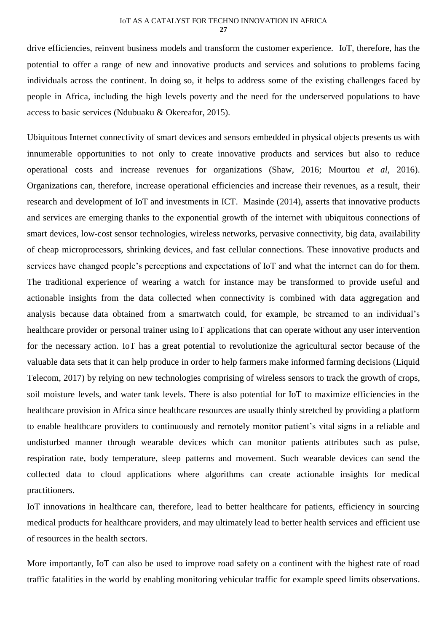# IoT AS A CATALYST FOR TECHNO INNOVATION IN AFRICA

**27**

drive efficiencies, reinvent business models and transform the customer experience. IoT, therefore, has the potential to offer a range of new and innovative products and services and solutions to problems facing individuals across the continent. In doing so, it helps to address some of the existing challenges faced by people in Africa, including the high levels poverty and the need for the underserved populations to have access to basic services (Ndubuaku & Okereafor, 2015).

Ubiquitous Internet connectivity of smart devices and sensors embedded in physical objects presents us with innumerable opportunities to not only to create innovative products and services but also to reduce operational costs and increase revenues for organizations (Shaw, 2016; Mourtou *et al*, 2016). Organizations can, therefore, increase operational efficiencies and increase their revenues, as a result, their research and development of IoT and investments in ICT. Masinde (2014), asserts that innovative products and services are emerging thanks to the exponential growth of the internet with ubiquitous connections of smart devices, low-cost sensor technologies, wireless networks, pervasive connectivity, big data, availability of cheap microprocessors, shrinking devices, and fast cellular connections. These innovative products and services have changed people's perceptions and expectations of IoT and what the internet can do for them. The traditional experience of wearing a watch for instance may be transformed to provide useful and actionable insights from the data collected when connectivity is combined with data aggregation and analysis because data obtained from a smartwatch could, for example, be streamed to an individual's healthcare provider or personal trainer using IoT applications that can operate without any user intervention for the necessary action. IoT has a great potential to revolutionize the agricultural sector because of the valuable data sets that it can help produce in order to help farmers make informed farming decisions (Liquid Telecom, 2017) by relying on new technologies comprising of wireless sensors to track the growth of crops, soil moisture levels, and water tank levels. There is also potential for IoT to maximize efficiencies in the healthcare provision in Africa since healthcare resources are usually thinly stretched by providing a platform to enable healthcare providers to continuously and remotely monitor patient's vital signs in a reliable and undisturbed manner through wearable devices which can monitor patients attributes such as pulse, respiration rate, body temperature, sleep patterns and movement. Such wearable devices can send the collected data to cloud applications where algorithms can create actionable insights for medical practitioners.

IoT innovations in healthcare can, therefore, lead to better healthcare for patients, efficiency in sourcing medical products for healthcare providers, and may ultimately lead to better health services and efficient use of resources in the health sectors.

More importantly, IoT can also be used to improve road safety on a continent with the highest rate of road traffic fatalities in the world by enabling monitoring vehicular traffic for example speed limits observations.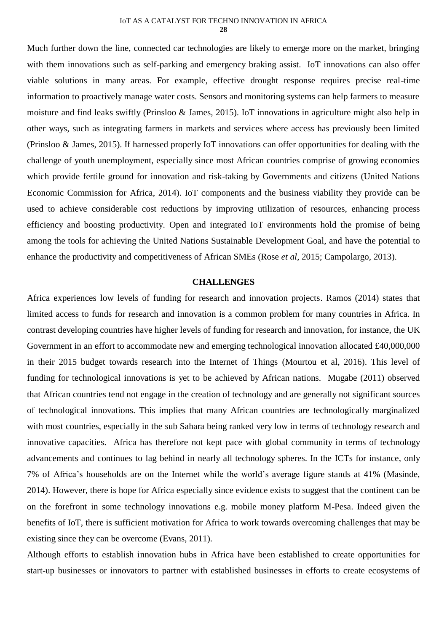Much further down the line, connected car technologies are likely to emerge more on the market, bringing with them innovations such as self-parking and emergency braking assist. IoT innovations can also offer viable solutions in many areas. For example, effective drought response requires precise real-time information to proactively manage water costs. Sensors and monitoring systems can help farmers to measure moisture and find leaks swiftly (Prinsloo & James, 2015). IoT innovations in agriculture might also help in other ways, such as integrating farmers in markets and services where access has previously been limited (Prinsloo & James, 2015). If harnessed properly IoT innovations can offer opportunities for dealing with the challenge of youth unemployment, especially since most African countries comprise of growing economies which provide fertile ground for innovation and risk-taking by Governments and citizens (United Nations Economic Commission for Africa, 2014). IoT components and the business viability they provide can be used to achieve considerable cost reductions by improving utilization of resources, enhancing process efficiency and boosting productivity. Open and integrated IoT environments hold the promise of being among the tools for achieving the United Nations Sustainable Development Goal, and have the potential to enhance the productivity and competitiveness of African SMEs (Rose *et al*, 2015; Campolargo, 2013).

## **CHALLENGES**

Africa experiences low levels of funding for research and innovation projects. Ramos (2014) states that limited access to funds for research and innovation is a common problem for many countries in Africa. In contrast developing countries have higher levels of funding for research and innovation, for instance, the UK Government in an effort to accommodate new and emerging technological innovation allocated £40,000,000 in their 2015 budget towards research into the Internet of Things (Mourtou et al, 2016). This level of funding for technological innovations is yet to be achieved by African nations. Mugabe (2011) observed that African countries tend not engage in the creation of technology and are generally not significant sources of technological innovations. This implies that many African countries are technologically marginalized with most countries, especially in the sub Sahara being ranked very low in terms of technology research and innovative capacities. Africa has therefore not kept pace with global community in terms of technology advancements and continues to lag behind in nearly all technology spheres. In the ICTs for instance, only 7% of Africa's households are on the Internet while the world's average figure stands at 41% (Masinde, 2014). However, there is hope for Africa especially since evidence exists to suggest that the continent can be on the forefront in some technology innovations e.g. mobile money platform M-Pesa. Indeed given the benefits of IoT, there is sufficient motivation for Africa to work towards overcoming challenges that may be existing since they can be overcome (Evans, 2011).

Although efforts to establish innovation hubs in Africa have been established to create opportunities for start-up businesses or innovators to partner with established businesses in efforts to create ecosystems of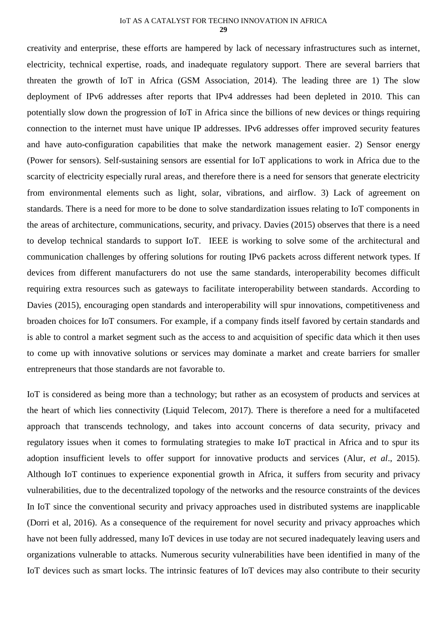creativity and enterprise, these efforts are hampered by lack of necessary infrastructures such as internet, electricity, technical expertise, roads, and inadequate regulatory support. There are several barriers that threaten the growth of IoT in Africa (GSM Association, 2014). The leading three are 1) The slow deployment of IPv6 addresses after reports that IPv4 addresses had been depleted in 2010. This can potentially slow down the progression of IoT in Africa since the billions of new devices or things requiring connection to the internet must have unique IP addresses. IPv6 addresses offer improved security features and have auto-configuration capabilities that make the network management easier. 2) Sensor energy (Power for sensors). Self-sustaining sensors are essential for IoT applications to work in Africa due to the scarcity of electricity especially rural areas, and therefore there is a need for sensors that generate electricity from environmental elements such as light, solar, vibrations, and airflow. 3) Lack of agreement on standards. There is a need for more to be done to solve standardization issues relating to IoT components in the areas of architecture, communications, security, and privacy. Davies (2015) observes that there is a need to develop technical standards to support IoT. IEEE is working to solve some of the architectural and communication challenges by offering solutions for routing IPv6 packets across different network types. If devices from different manufacturers do not use the same standards, interoperability becomes difficult requiring extra resources such as gateways to facilitate interoperability between standards. According to Davies (2015), encouraging open standards and interoperability will spur innovations, competitiveness and broaden choices for IoT consumers. For example, if a company finds itself favored by certain standards and is able to control a market segment such as the access to and acquisition of specific data which it then uses to come up with innovative solutions or services may dominate a market and create barriers for smaller entrepreneurs that those standards are not favorable to.

IoT is considered as being more than a technology; but rather as an ecosystem of products and services at the heart of which lies connectivity (Liquid Telecom, 2017). There is therefore a need for a multifaceted approach that transcends technology, and takes into account concerns of data security, privacy and regulatory issues when it comes to formulating strategies to make IoT practical in Africa and to spur its adoption insufficient levels to offer support for innovative products and services (Alur, *et al*., 2015). Although IoT continues to experience exponential growth in Africa, it suffers from security and privacy vulnerabilities, due to the decentralized topology of the networks and the resource constraints of the devices In IoT since the conventional security and privacy approaches used in distributed systems are inapplicable (Dorri et al, 2016). As a consequence of the requirement for novel security and privacy approaches which have not been fully addressed, many IoT devices in use today are not secured inadequately leaving users and organizations vulnerable to attacks. Numerous security vulnerabilities have been identified in many of the IoT devices such as smart locks. The intrinsic features of IoT devices may also contribute to their security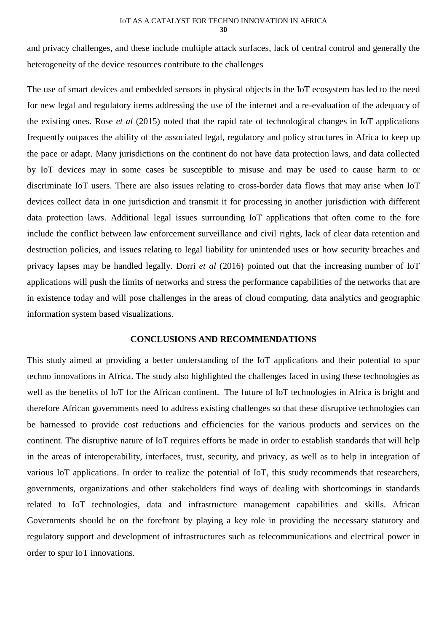and privacy challenges, and these include multiple attack surfaces, lack of central control and generally the heterogeneity of the device resources contribute to the challenges

The use of smart devices and embedded sensors in physical objects in the IoT ecosystem has led to the need for new legal and regulatory items addressing the use of the internet and a re-evaluation of the adequacy of the existing ones. Rose *et al* (2015) noted that the rapid rate of technological changes in IoT applications frequently outpaces the ability of the associated legal, regulatory and policy structures in Africa to keep up the pace or adapt. Many jurisdictions on the continent do not have data protection laws, and data collected by IoT devices may in some cases be susceptible to misuse and may be used to cause harm to or discriminate IoT users. There are also issues relating to cross-border data flows that may arise when IoT devices collect data in one jurisdiction and transmit it for processing in another jurisdiction with different data protection laws. Additional legal issues surrounding IoT applications that often come to the fore include the conflict between law enforcement surveillance and civil rights, lack of clear data retention and destruction policies, and issues relating to legal liability for unintended uses or how security breaches and privacy lapses may be handled legally. Dorri *et al* (2016) pointed out that the increasing number of IoT applications will push the limits of networks and stress the performance capabilities of the networks that are in existence today and will pose challenges in the areas of cloud computing, data analytics and geographic information system based visualizations.

## **CONCLUSIONS AND RECOMMENDATIONS**

This study aimed at providing a better understanding of the IoT applications and their potential to spur techno innovations in Africa. The study also highlighted the challenges faced in using these technologies as well as the benefits of IoT for the African continent. The future of IoT technologies in Africa is bright and therefore African governments need to address existing challenges so that these disruptive technologies can be harnessed to provide cost reductions and efficiencies for the various products and services on the continent. The disruptive nature of IoT requires efforts be made in order to establish standards that will help in the areas of interoperability, interfaces, trust, security, and privacy, as well as to help in integration of various IoT applications. In order to realize the potential of IoT, this study recommends that researchers, governments, organizations and other stakeholders find ways of dealing with shortcomings in standards related to IoT technologies, data and infrastructure management capabilities and skills. African Governments should be on the forefront by playing a key role in providing the necessary statutory and regulatory support and development of infrastructures such as telecommunications and electrical power in order to spur IoT innovations.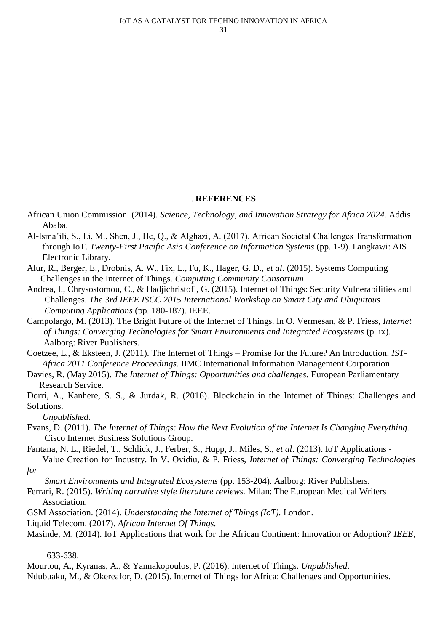## . **REFERENCES**

- African Union Commission. (2014). *Science, Technology, and Innovation Strategy for Africa 2024.* Addis Ababa.
- Al-Isma'ili, S., Li, M., Shen, J., He, Q., & Alghazi, A. (2017). African Societal Challenges Transformation through IoT. *Twenty-First Pacific Asia Conference on Information Systems* (pp. 1-9). Langkawi: AIS Electronic Library.
- Alur, R., Berger, E., Drobnis, A. W., Fix, L., Fu, K., Hager, G. D., *et al*. (2015). Systems Computing Challenges in the Internet of Things. *Computing Community Consortium*.
- Andrea, I., Chrysostomou, C., & Hadjichristofi, G. (2015). Internet of Things: Security Vulnerabilities and Challenges. *The 3rd IEEE ISCC 2015 International Workshop on Smart City and Ubiquitous Computing Applications* (pp. 180-187). IEEE.
- Campolargo, M. (2013). The Bright Future of the Internet of Things. In O. Vermesan, & P. Friess, *Internet of Things: Converging Technologies for Smart Environments and Integrated Ecosystems* (p. ix). Aalborg: River Publishers.
- Coetzee, L., & Eksteen, J. (2011). The Internet of Things Promise for the Future? An Introduction. *IST-Africa 2011 Conference Proceedings.* IIMC International Information Management Corporation.
- Davies, R. (May 2015). *The Internet of Things: Opportunities and challenges.* European Parliamentary Research Service.
- Dorri, A., Kanhere, S. S., & Jurdak, R. (2016). Blockchain in the Internet of Things: Challenges and Solutions.

*Unpublished*.

- Evans, D. (2011). *The Internet of Things: How the Next Evolution of the Internet Is Changing Everything.* Cisco Internet Business Solutions Group.
- Fantana, N. L., Riedel, T., Schlick, J., Ferber, S., Hupp, J., Miles, S., *et al*. (2013). IoT Applications Value Creation for Industry. In V. Ovidiu, & P. Friess, *Internet of Things: Converging Technologies*
- *for*
- *Smart Environments and Integrated Ecosystems* (pp. 153-204). Aalborg: River Publishers.
- Ferrari, R. (2015). *Writing narrative style literature reviews.* Milan: The European Medical Writers Association.
- GSM Association. (2014). *Understanding the Internet of Things (IoT).* London.

Liquid Telecom. (2017). *African Internet Of Things.*

Masinde, M. (2014). IoT Applications that work for the African Continent: Innovation or Adoption? *IEEE*,

633-638.

Mourtou, A., Kyranas, A., & Yannakopoulos, P. (2016). Internet of Things. *Unpublished*.

Ndubuaku, M., & Okereafor, D. (2015). Internet of Things for Africa: Challenges and Opportunities.